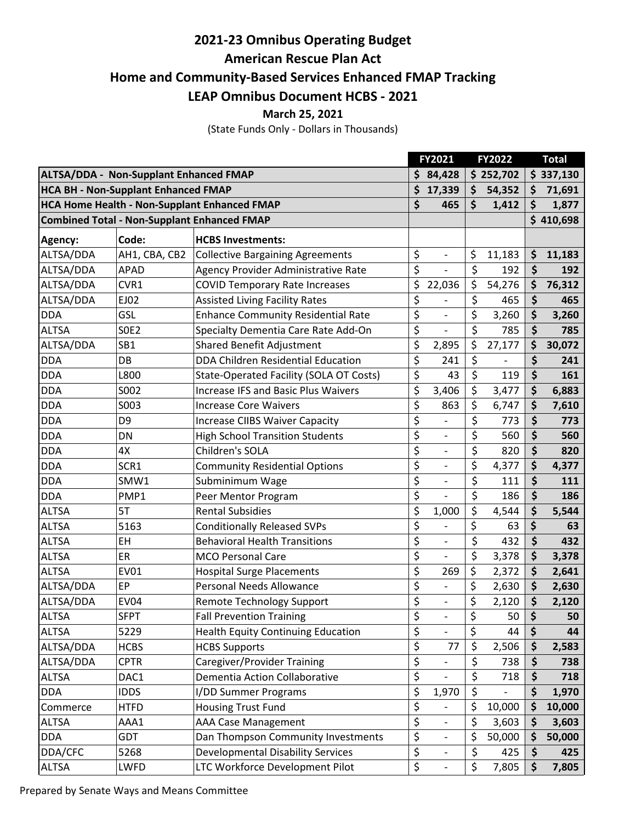## **2021-23 Omnibus Operating Budget**

**American Rescue Plan Act**

**Home and Community-Based Services Enhanced FMAP Tracking**

**LEAP Omnibus Document HCBS - 2021**

**March 25, 2021**

(State Funds Only - Dollars in Thousands)

|                                                     |                 |                                            |    | FY2021            |    | FY2022    |    | <b>Total</b> |  |
|-----------------------------------------------------|-----------------|--------------------------------------------|----|-------------------|----|-----------|----|--------------|--|
| <b>ALTSA/DDA - Non-Supplant Enhanced FMAP</b>       |                 |                                            | \$ | 84,428            |    | \$252,702 |    | \$337,130    |  |
| <b>HCA BH - Non-Supplant Enhanced FMAP</b>          |                 |                                            |    | 17,339            | \$ | 54,352    | Ś  | 71,691       |  |
| <b>HCA Home Health - Non-Supplant Enhanced FMAP</b> |                 |                                            | \$ | 465               | \$ | 1,412     | \$ | 1,877        |  |
| <b>Combined Total - Non-Supplant Enhanced FMAP</b>  |                 |                                            |    |                   |    |           |    | \$410,698    |  |
| Agency:                                             | Code:           | <b>HCBS Investments:</b>                   |    |                   |    |           |    |              |  |
| ALTSA/DDA                                           | AH1, CBA, CB2   | <b>Collective Bargaining Agreements</b>    | \$ | $\qquad \qquad -$ | \$ | 11,183    | \$ | 11,183       |  |
| ALTSA/DDA                                           | <b>APAD</b>     | Agency Provider Administrative Rate        | \$ |                   | \$ | 192       | \$ | 192          |  |
| ALTSA/DDA                                           | CVR1            | <b>COVID Temporary Rate Increases</b>      | \$ | 22,036            | \$ | 54,276    | \$ | 76,312       |  |
| ALTSA/DDA                                           | EJ02            | <b>Assisted Living Facility Rates</b>      | \$ |                   | \$ | 465       | \$ | 465          |  |
| <b>DDA</b>                                          | GSL             | <b>Enhance Community Residential Rate</b>  | \$ | $\overline{a}$    | \$ | 3,260     | \$ | 3,260        |  |
| <b>ALTSA</b>                                        | <b>SOE2</b>     | Specialty Dementia Care Rate Add-On        | \$ | $\overline{a}$    | \$ | 785       | \$ | 785          |  |
| ALTSA/DDA                                           | SB <sub>1</sub> | <b>Shared Benefit Adjustment</b>           | \$ | 2,895             | \$ | 27,177    | \$ | 30,072       |  |
| <b>DDA</b>                                          | DB              | DDA Children Residential Education         | \$ | 241               | \$ |           | \$ | 241          |  |
| <b>DDA</b>                                          | L800            | State-Operated Facility (SOLA OT Costs)    | \$ | 43                | \$ | 119       | \$ | 161          |  |
| <b>DDA</b>                                          | S002            | <b>Increase IFS and Basic Plus Waivers</b> | \$ | 3,406             | \$ | 3,477     | \$ | 6,883        |  |
| <b>DDA</b>                                          | S003            | <b>Increase Core Waivers</b>               | \$ | 863               | \$ | 6,747     | \$ | 7,610        |  |
| <b>DDA</b>                                          | D <sub>9</sub>  | <b>Increase CIIBS Waiver Capacity</b>      | \$ |                   | \$ | 773       | \$ | 773          |  |
| <b>DDA</b>                                          | DN              | <b>High School Transition Students</b>     | \$ | $\overline{a}$    | \$ | 560       | \$ | 560          |  |
| <b>DDA</b>                                          | 4X              | Children's SOLA                            | \$ |                   | \$ | 820       | \$ | 820          |  |
| <b>DDA</b>                                          | SCR1            | <b>Community Residential Options</b>       | \$ | $\overline{a}$    | \$ | 4,377     | \$ | 4,377        |  |
| <b>DDA</b>                                          | SMW1            | Subminimum Wage                            | \$ |                   | \$ | 111       | \$ | 111          |  |
| <b>DDA</b>                                          | PMP1            | Peer Mentor Program                        | \$ |                   | \$ | 186       | \$ | 186          |  |
| <b>ALTSA</b>                                        | 5T              | <b>Rental Subsidies</b>                    | \$ | 1,000             | \$ | 4,544     | \$ | 5,544        |  |
| <b>ALTSA</b>                                        | 5163            | <b>Conditionally Released SVPs</b>         | \$ |                   | \$ | 63        | \$ | 63           |  |
| <b>ALTSA</b>                                        | EH              | <b>Behavioral Health Transitions</b>       | \$ | $\overline{a}$    | \$ | 432       | \$ | 432          |  |
| <b>ALTSA</b>                                        | ER              | <b>MCO Personal Care</b>                   | \$ |                   | \$ | 3,378     | \$ | 3,378        |  |
| <b>ALTSA</b>                                        | <b>EV01</b>     | <b>Hospital Surge Placements</b>           | \$ | 269               | \$ | 2,372     | \$ | 2,641        |  |
| ALTSA/DDA                                           | EP              | Personal Needs Allowance                   | \$ | $\overline{a}$    | \$ | 2,630     | \$ | 2,630        |  |
| ALTSA/DDA                                           | <b>EV04</b>     | <b>Remote Technology Support</b>           | \$ | $\overline{a}$    | \$ | 2,120     | \$ | 2,120        |  |
| <b>ALTSA</b>                                        | <b>SFPT</b>     | <b>Fall Prevention Training</b>            | \$ |                   | \$ | 50        | \$ | 50           |  |
| <b>ALTSA</b>                                        | 5229            | <b>Health Equity Continuing Education</b>  | \$ |                   | \$ | 44        | \$ | 44           |  |
| ALTSA/DDA                                           | <b>HCBS</b>     | <b>HCBS Supports</b>                       | \$ | 77                | \$ | 2,506     | \$ | 2,583        |  |
| ALTSA/DDA                                           | <b>CPTR</b>     | Caregiver/Provider Training                | \$ |                   | \$ | 738       | \$ | 738          |  |
| <b>ALTSA</b>                                        | DAC1            | Dementia Action Collaborative              | \$ |                   | \$ | 718       | \$ | 718          |  |
| <b>DDA</b>                                          | <b>IDDS</b>     | I/DD Summer Programs                       | \$ | 1,970             | \$ |           | \$ | 1,970        |  |
| Commerce                                            | <b>HTFD</b>     | <b>Housing Trust Fund</b>                  | \$ |                   | \$ | 10,000    | \$ | 10,000       |  |
| <b>ALTSA</b>                                        | AAA1            | <b>AAA Case Management</b>                 | \$ |                   | \$ | 3,603     | \$ | 3,603        |  |
| <b>DDA</b>                                          | GDT             | Dan Thompson Community Investments         | \$ |                   | \$ | 50,000    | \$ | 50,000       |  |
| DDA/CFC                                             | 5268            | <b>Developmental Disability Services</b>   | \$ |                   | \$ | 425       | \$ | 425          |  |
| <b>ALTSA</b>                                        | LWFD            | LTC Workforce Development Pilot            | \$ |                   | \$ | 7,805     | \$ | 7,805        |  |